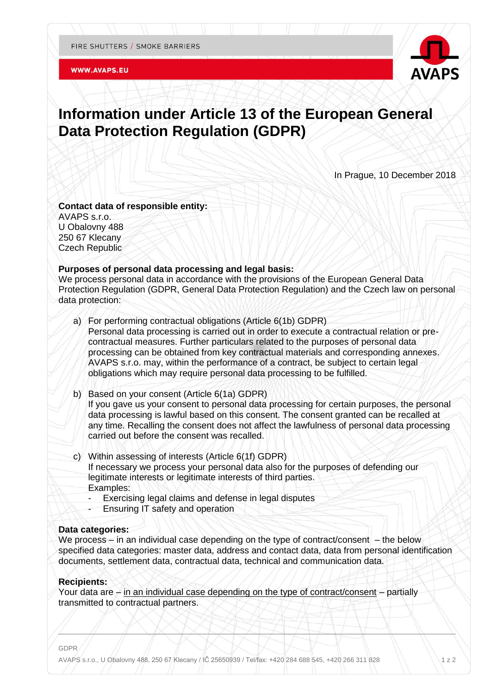#### **WWW.AVAPS.EU**



# **Information under Article 13 of the European General Data Protection Regulation (GDPR)**

In Prague, 10 December 2018

**Contact data of responsible entity:** AVAPS s.r.o. U Obalovny 488 250 67 Klecany Czech Republic

### **Purposes of personal data processing and legal basis:**

We process personal data in accordance with the provisions of the European General Data Protection Regulation (GDPR, General Data Protection Regulation) and the Czech law on personal data protection:

- a) For performing contractual obligations (Article 6(1b) GDPR) Personal data processing is carried out in order to execute a contractual relation or precontractual measures. Further particulars related to the purposes of personal data processing can be obtained from key contractual materials and corresponding annexes. AVAPS s.r.o. may, within the performance of a contract, be subject to certain legal obligations which may require personal data processing to be fulfilled.
- b) Based on your consent (Article 6(1a) GDPR) If you gave us your consent to personal data processing for certain purposes, the personal data processing is lawful based on this consent. The consent granted can be recalled at any time. Recalling the consent does not affect the lawfulness of personal data processing carried out before the consent was recalled.
- c) Within assessing of interests (Article 6(1f) GDPR) If necessary we process your personal data also for the purposes of defending our legitimate interests or legitimate interests of third parties. Examples:
	- Exercising legal claims and defense in legal disputes
	- Ensuring IT safety and operation

# **Data categories:**

We process – in an individual case depending on the type of contract/consent – the below specified data categories: master data, address and contact data, data from personal identification documents, settlement data, contractual data, technical and communication data.

### **Recipients:**

Your data are – in an individual case depending on the type of contract/consent – partially transmitted to contractual partners.

GDPR